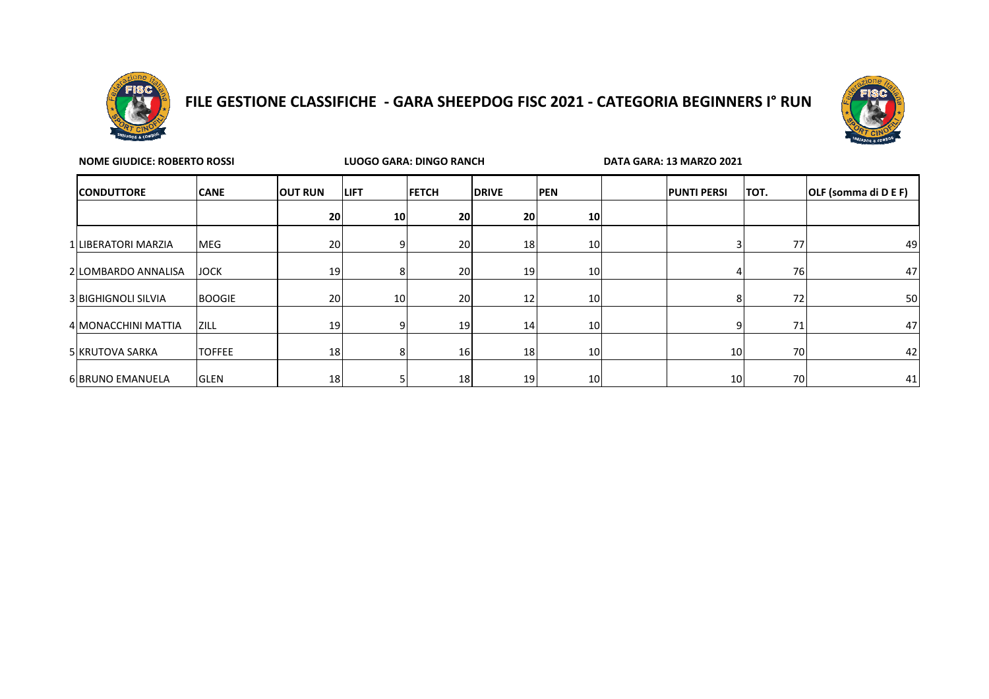

# **FILE GESTIONE CLASSIFICHE - GARA SHEEPDOG FISC 2021 - CATEGORIA BEGINNERS I° RUN**



| <b>NOME GIUDICE: ROBERTO ROSSI</b> |               | LUOGO GARA: DINGO RANCH |                 |              | DATA GARA: 13 MARZO 2021 |                 |  |                    |      |                      |
|------------------------------------|---------------|-------------------------|-----------------|--------------|--------------------------|-----------------|--|--------------------|------|----------------------|
| <b>CONDUTTORE</b>                  | <b>CANE</b>   | <b>OUT RUN</b>          | <b>LIFT</b>     | <b>FETCH</b> | <b>DRIVE</b>             | <b>PEN</b>      |  | <b>PUNTI PERSI</b> | TOT. | OLF (somma di D E F) |
|                                    |               | 20                      | 10              | 20           | 20                       | 10 <sup>1</sup> |  |                    |      |                      |
| 1 LIBERATORI MARZIA                | <b>MEG</b>    | 20                      | 9               | 20           | 18                       | 10              |  |                    | 77   | 49                   |
| 2 LOMBARDO ANNALISA                | <b>JOCK</b>   | 19                      | 8               | 20           | 19                       | 10              |  |                    | 76   | 47                   |
| <b>3 BIGHIGNOLI SILVIA</b>         | <b>BOOGIE</b> | 20                      | 10 <sub>l</sub> | 20           | 12                       | 10 <sup>1</sup> |  |                    | 72   | 50                   |
| 4 MONACCHINI MATTIA                | <b>ZILL</b>   | 19                      | 9               | 19           | 14                       | 10 <sup>1</sup> |  |                    | 71   | 47                   |
| 5 KRUTOVA SARKA                    | <b>TOFFEE</b> | 18                      | 8               | 16           | 18                       | 10              |  | 10 <sup>1</sup>    | 70   | 42                   |
| 6 BRUNO EMANUELA                   | <b>GLEN</b>   | 18                      |                 | 18           | 19                       | 10              |  | 10                 | 70   | 41                   |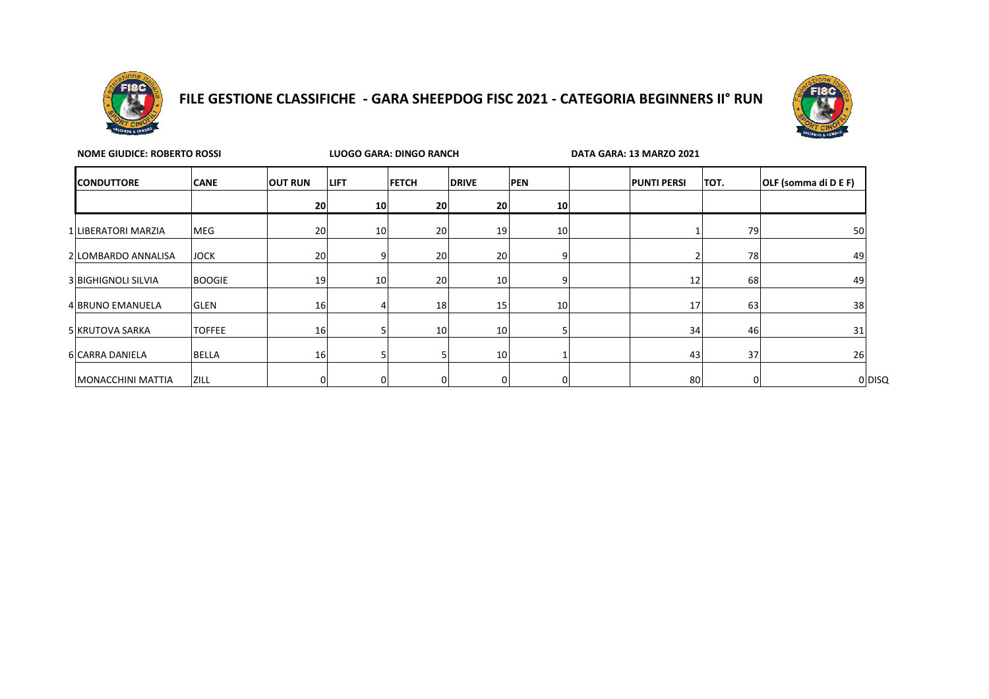

## **FILE GESTIONE CLASSIFICHE - GARA SHEEPDOG FISC 2021 - CATEGORIA BEGINNERS II° RUN**



| <b>NOME GIUDICE: ROBERTO ROSSI</b> |               |                |             | LUOGO GARA: DINGO RANCH |                 |              | DATA GARA: 13 MARZO 2021 |                    |      |                      |  |  |
|------------------------------------|---------------|----------------|-------------|-------------------------|-----------------|--------------|--------------------------|--------------------|------|----------------------|--|--|
| <b>CONDUTTORE</b>                  | <b>CANE</b>   | <b>OUT RUN</b> | <b>LIFT</b> | <b>FETCH</b>            | <b>DRIVE</b>    | <b>PEN</b>   |                          | <b>PUNTI PERSI</b> | TOT. | OLF (somma di D E F) |  |  |
|                                    |               | 20             | 10          | 20 <sub>l</sub>         | 20              | 10           |                          |                    |      |                      |  |  |
| LIBERATORI MARZIA                  | MEG           | 20             | 10          | 20                      | 19              | 10           |                          |                    | 79   | 50                   |  |  |
| 2 LOMBARDO ANNALISA                | <b>JOCK</b>   | 20             |             | 20                      | 20              | q            |                          |                    | 78   | 49                   |  |  |
| 3 IBIGHIGNOLI SILVIA               | <b>BOOGIE</b> | 19             | 10          | 20                      | 10 <sup>1</sup> |              |                          | 12                 | 68   | 49                   |  |  |
| 4 BRUNO EMANUELA                   | <b>GLEN</b>   | 16             |             | 18                      | 15 <sup>1</sup> | 10           |                          | 17                 | 63   | 38                   |  |  |
| 5 KRUTOVA SARKA                    | <b>TOFFEE</b> | 16             |             | 10 <sup>1</sup>         | 10 <sup>1</sup> |              |                          | 34                 | 46   | 31                   |  |  |
| 6 CARRA DANIELA                    | <b>BELLA</b>  | 16             |             | 51                      | 10              |              |                          | 43                 | 37   | 26                   |  |  |
| MONACCHINI MATTIA                  | <b>ZILL</b>   |                |             | 0                       |                 | <sup>0</sup> |                          | 80                 | 0    | 0 DISQ               |  |  |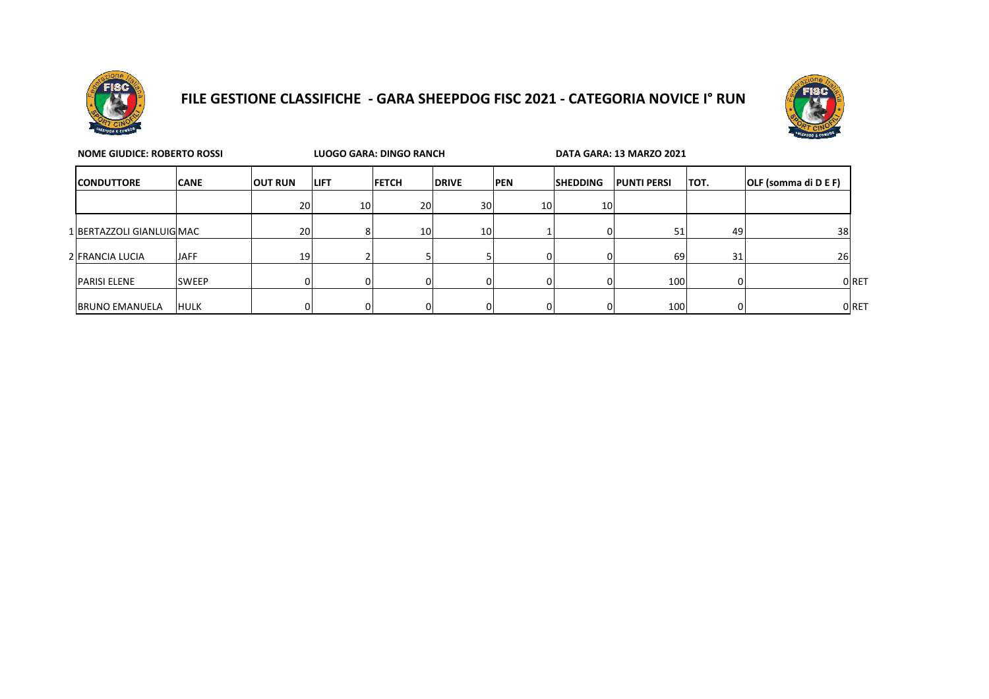

## **FILE GESTIONE CLASSIFICHE - GARA SHEEPDOG FISC 2021 - CATEGORIA NOVICE I° RUN**



|                           | <b>NOME GIUDICE: ROBERTO ROSSI</b> |                 | LUOGO GARA: DINGO RANCH |                 |                 | DATA GARA: 13 MARZO 2021 |                  |                    |       |                      |      |
|---------------------------|------------------------------------|-----------------|-------------------------|-----------------|-----------------|--------------------------|------------------|--------------------|-------|----------------------|------|
| <b>CONDUTTORE</b>         | <b>CANE</b>                        | <b>OUT RUN</b>  | <b>ILIFT</b>            | <b>FETCH</b>    | <b>DRIVE</b>    | <b>PEN</b>               | <b>ISHEDDING</b> | <b>PUNTI PERSI</b> | ITOT. | OLF (somma di D E F) |      |
|                           |                                    | 20 <sub>l</sub> | 10                      | 20              | 30 <sup>1</sup> | 10                       | 10               |                    |       |                      |      |
| 1 BERTAZZOLI GIANLUIG MAC |                                    | 20              |                         | 10 <sup>1</sup> | 10 <sup>1</sup> |                          |                  | 51                 | 49    | 38                   |      |
| 2 FRANCIA LUCIA           | <b>JAFF</b>                        | 19              |                         |                 |                 |                          |                  | 69                 | 31    | 26                   |      |
| <b>PARISI ELENE</b>       | <b>SWEEP</b>                       |                 | o                       |                 |                 |                          |                  | 100                |       |                      | 0RET |
| <b>IBRUNO EMANUELA</b>    | <b>HULK</b>                        |                 | U.                      | $\Omega$        |                 |                          |                  | 100                |       |                      | 0RET |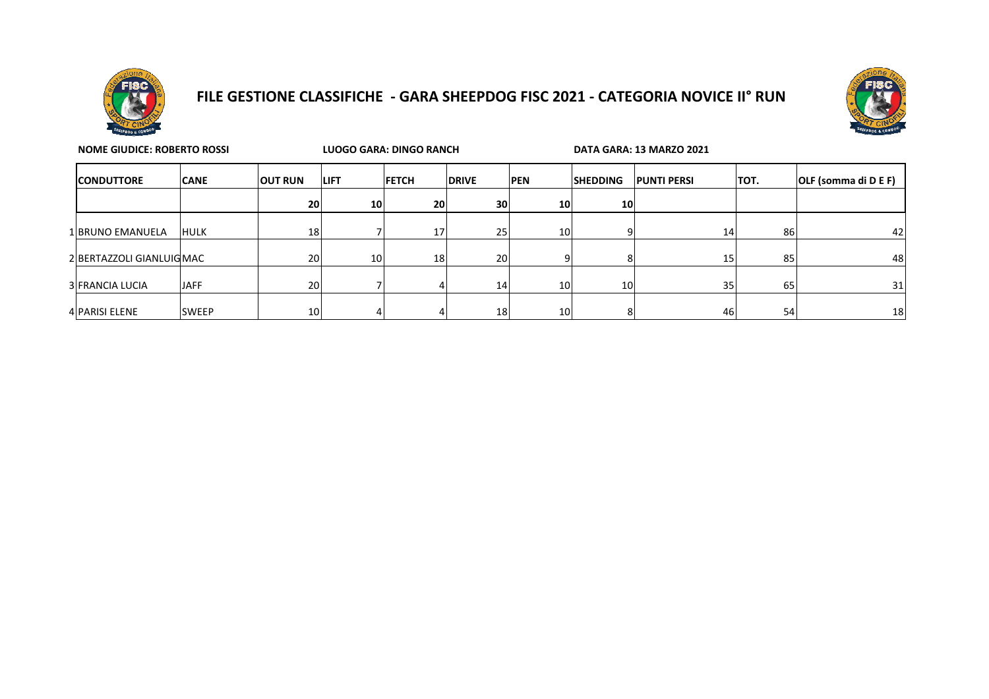

#### **FILE GESTIONE CLASSIFICHE - GARA SHEEPDOG FISC 2021 - CATEGORIA NOVICE II° RUN**



| <b>NOME GIUDICE: ROBERTO ROSSI</b> |              |                | LUOGO GARA: DINGO RANCH |              |                 |                 | DATA GARA: 13 MARZO 2021 |                    |             |                      |  |
|------------------------------------|--------------|----------------|-------------------------|--------------|-----------------|-----------------|--------------------------|--------------------|-------------|----------------------|--|
| <b>CANE</b><br><b>ICONDUTTORE</b>  |              | <b>OUT RUN</b> | <b>LIFT</b>             | <b>FETCH</b> | <b>DRIVE</b>    | <b>PEN</b>      | <b>SHEDDING</b>          | <b>PUNTI PERSI</b> | <b>TOT.</b> | OLF (somma di D E F) |  |
|                                    |              | 20             | 10                      | 20           | 30              | 10 <sup>1</sup> | 10 <sup>1</sup>          |                    |             |                      |  |
| 1 BRUNO EMANUELA                   | <b>HULK</b>  | 18             |                         | 17           | 25 <sub>1</sub> | 10 <sup>1</sup> |                          | 14                 | 86          | 42                   |  |
| 2 BERTAZZOLI GIANLUIGMAC           |              | 20             | 10                      | 18           | 20              | 91              | я                        | 15                 | 85          | 48                   |  |
| <b>3 FRANCIA LUCIA</b>             | <b>JAFF</b>  | 20             |                         |              | 14 <sub>1</sub> | 10 <sup>1</sup> | 10                       | 35                 | 65          | 31                   |  |
| 4 PARISI ELENE                     | <b>SWEEP</b> | 10             |                         |              | 18              | 10 <sup>1</sup> | 8                        | 46                 | 54          | 18                   |  |